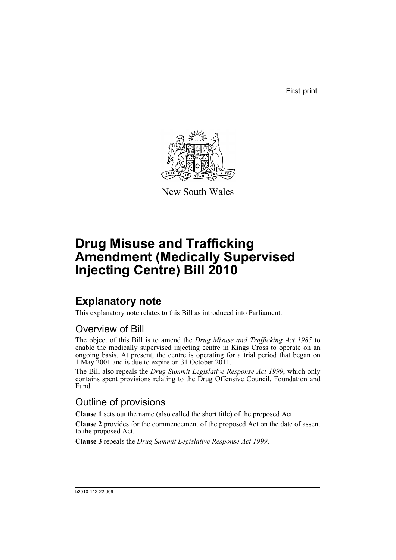First print



New South Wales

# **Drug Misuse and Trafficking Amendment (Medically Supervised Injecting Centre) Bill 2010**

## **Explanatory note**

This explanatory note relates to this Bill as introduced into Parliament.

### Overview of Bill

The object of this Bill is to amend the *Drug Misuse and Trafficking Act 1985* to enable the medically supervised injecting centre in Kings Cross to operate on an ongoing basis. At present, the centre is operating for a trial period that began on 1 May 2001 and is due to expire on 31 October 2011.

The Bill also repeals the *Drug Summit Legislative Response Act 1999*, which only contains spent provisions relating to the Drug Offensive Council, Foundation and Fund.

### Outline of provisions

**Clause 1** sets out the name (also called the short title) of the proposed Act.

**Clause 2** provides for the commencement of the proposed Act on the date of assent to the proposed Act.

**Clause 3** repeals the *Drug Summit Legislative Response Act 1999*.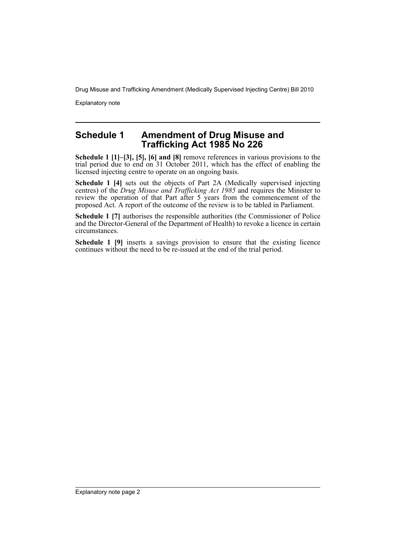Explanatory note

#### **Schedule 1 Amendment of Drug Misuse and Trafficking Act 1985 No 226**

**Schedule 1 [1]–[3], [5], [6] and [8]** remove references in various provisions to the trial period due to end on 31 October 2011, which has the effect of enabling the licensed injecting centre to operate on an ongoing basis.

**Schedule 1 [4]** sets out the objects of Part 2A (Medically supervised injecting centres) of the *Drug Misuse and Trafficking Act 1985* and requires the Minister to review the operation of that Part after 5 years from the commencement of the proposed Act. A report of the outcome of the review is to be tabled in Parliament.

**Schedule 1 [7]** authorises the responsible authorities (the Commissioner of Police and the Director-General of the Department of Health) to revoke a licence in certain circumstances.

**Schedule 1 [9]** inserts a savings provision to ensure that the existing licence continues without the need to be re-issued at the end of the trial period.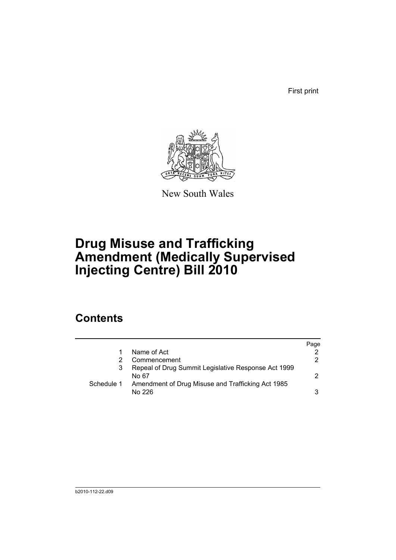First print



New South Wales

# **Drug Misuse and Trafficking Amendment (Medically Supervised Injecting Centre) Bill 2010**

### **Contents**

|            |                                                              | Page |
|------------|--------------------------------------------------------------|------|
|            | Name of Act                                                  |      |
|            | Commencement                                                 | 2    |
|            | Repeal of Drug Summit Legislative Response Act 1999<br>No 67 | 2    |
| Schedule 1 | Amendment of Drug Misuse and Trafficking Act 1985<br>No 226  | 3    |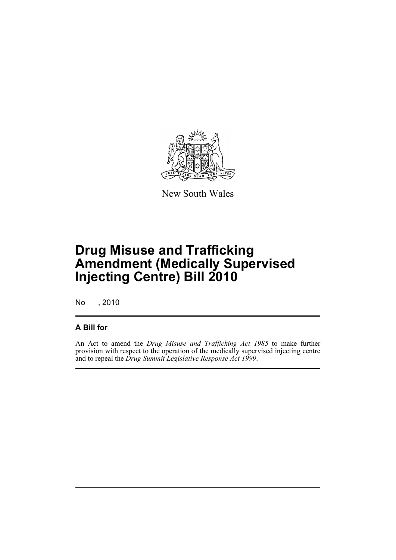

New South Wales

## **Drug Misuse and Trafficking Amendment (Medically Supervised Injecting Centre) Bill 2010**

No , 2010

#### **A Bill for**

An Act to amend the *Drug Misuse and Trafficking Act 1985* to make further provision with respect to the operation of the medically supervised injecting centre and to repeal the *Drug Summit Legislative Response Act 1999*.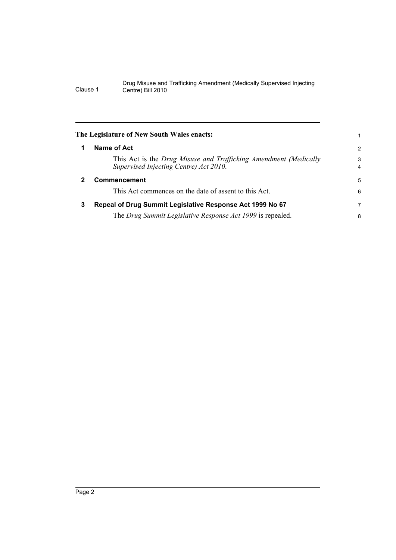<span id="page-5-2"></span><span id="page-5-1"></span><span id="page-5-0"></span>

|              | The Legislature of New South Wales enacts:                                                                 |        |
|--------------|------------------------------------------------------------------------------------------------------------|--------|
| 1            | Name of Act                                                                                                | 2      |
|              | This Act is the Drug Misuse and Trafficking Amendment (Medically<br>Supervised Injecting Centre) Act 2010. | 3<br>4 |
| $\mathbf{2}$ | <b>Commencement</b>                                                                                        | 5      |
|              | This Act commences on the date of assent to this Act.                                                      | 6      |
| 3            | Repeal of Drug Summit Legislative Response Act 1999 No 67                                                  | 7      |
|              | The Drug Summit Legislative Response Act 1999 is repealed.                                                 | 8      |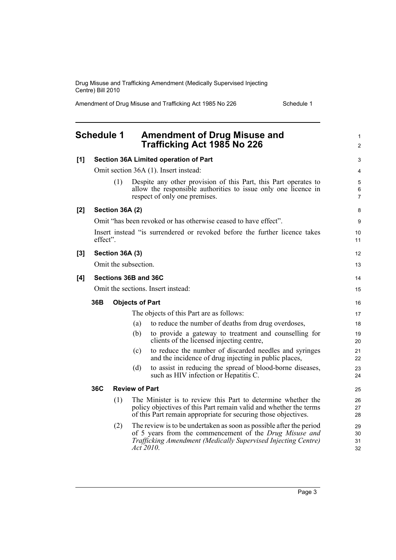Amendment of Drug Misuse and Trafficking Act 1985 No 226 Schedule 1

<span id="page-6-0"></span>

| <b>Schedule 1</b> |                                                                                        |                      |                       | <b>Amendment of Drug Misuse and</b><br><b>Trafficking Act 1985 No 226</b>                                                                                                                           | 1<br>$\overline{c}$  |  |
|-------------------|----------------------------------------------------------------------------------------|----------------------|-----------------------|-----------------------------------------------------------------------------------------------------------------------------------------------------------------------------------------------------|----------------------|--|
| [1]               | <b>Section 36A Limited operation of Part</b>                                           |                      |                       |                                                                                                                                                                                                     |                      |  |
|                   |                                                                                        |                      |                       | Omit section 36A (1). Insert instead:                                                                                                                                                               | $\overline{4}$       |  |
|                   |                                                                                        | (1)                  |                       | Despite any other provision of this Part, this Part operates to<br>allow the responsible authorities to issue only one licence in<br>respect of only one premises.                                  | 5<br>6<br>7          |  |
| [2]               | Section 36A (2)                                                                        |                      |                       |                                                                                                                                                                                                     | 8                    |  |
|                   | Omit "has been revoked or has otherwise ceased to have effect".                        |                      |                       |                                                                                                                                                                                                     | 9                    |  |
|                   | Insert instead "is surrendered or revoked before the further licence takes<br>effect". |                      |                       |                                                                                                                                                                                                     |                      |  |
| $[3]$             |                                                                                        | Section 36A (3)      |                       |                                                                                                                                                                                                     | 12                   |  |
|                   |                                                                                        | Omit the subsection. |                       |                                                                                                                                                                                                     | 13                   |  |
| [4]               |                                                                                        | Sections 36B and 36C |                       |                                                                                                                                                                                                     | 14                   |  |
|                   | Omit the sections. Insert instead:                                                     |                      |                       |                                                                                                                                                                                                     |                      |  |
|                   | 36B<br><b>Objects of Part</b>                                                          |                      |                       |                                                                                                                                                                                                     | 16                   |  |
|                   |                                                                                        |                      |                       | The objects of this Part are as follows:                                                                                                                                                            | 17                   |  |
|                   |                                                                                        |                      | (a)                   | to reduce the number of deaths from drug overdoses,                                                                                                                                                 | 18                   |  |
|                   |                                                                                        |                      | (b)                   | to provide a gateway to treatment and counselling for<br>clients of the licensed injecting centre,                                                                                                  | 19<br>20             |  |
|                   |                                                                                        |                      | (c)                   | to reduce the number of discarded needles and syringes<br>and the incidence of drug injecting in public places,                                                                                     | 21<br>22             |  |
|                   |                                                                                        |                      | (d)                   | to assist in reducing the spread of blood-borne diseases,<br>such as HIV infection or Hepatitis C.                                                                                                  | 23<br>24             |  |
|                   | 36C                                                                                    |                      | <b>Review of Part</b> |                                                                                                                                                                                                     | 25                   |  |
|                   |                                                                                        | (1)                  |                       | The Minister is to review this Part to determine whether the<br>policy objectives of this Part remain valid and whether the terms<br>of this Part remain appropriate for securing those objectives. | 26<br>27<br>28       |  |
|                   |                                                                                        | (2)                  | Act $2010$ .          | The review is to be undertaken as soon as possible after the period<br>of 5 years from the commencement of the Drug Misuse and<br>Trafficking Amendment (Medically Supervised Injecting Centre)     | 29<br>30<br>31<br>32 |  |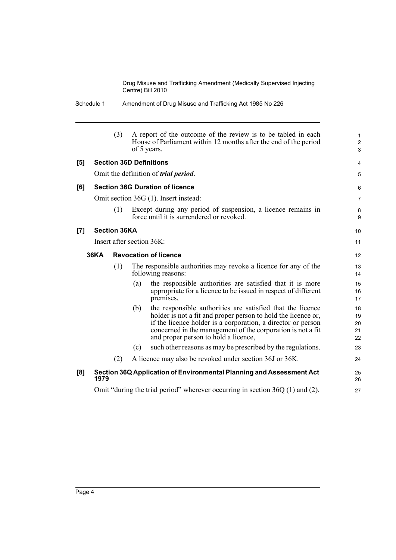> 1 2 3

> 4 5

Schedule 1 Amendment of Drug Misuse and Trafficking Act 1985 No 226

|     | (3)                            |     | A report of the outcome of the review is to be tabled in each<br>House of Parliament within 12 months after the end of the period<br>of 5 years.                                                                                                                                                   |
|-----|--------------------------------|-----|----------------------------------------------------------------------------------------------------------------------------------------------------------------------------------------------------------------------------------------------------------------------------------------------------|
| [5] | <b>Section 36D Definitions</b> |     |                                                                                                                                                                                                                                                                                                    |
|     |                                |     | Omit the definition of <i>trial period</i> .                                                                                                                                                                                                                                                       |
| [6] |                                |     | <b>Section 36G Duration of licence</b>                                                                                                                                                                                                                                                             |
|     |                                |     | Omit section 36G (1). Insert instead:                                                                                                                                                                                                                                                              |
|     | (1)                            |     | Except during any period of suspension, a licence remains in<br>force until it is surrendered or revoked.                                                                                                                                                                                          |
| [7] | <b>Section 36KA</b>            |     |                                                                                                                                                                                                                                                                                                    |
|     | Insert after section 36K:      |     |                                                                                                                                                                                                                                                                                                    |
|     | <b>36KA</b>                    |     | <b>Revocation of licence</b>                                                                                                                                                                                                                                                                       |
|     | (1)                            |     | The responsible authorities may revoke a licence for any of the<br>following reasons:                                                                                                                                                                                                              |
|     |                                | (a) | the responsible authorities are satisfied that it is more<br>appropriate for a licence to be issued in respect of different<br>premises,                                                                                                                                                           |
|     |                                | (b) | the responsible authorities are satisfied that the licence<br>holder is not a fit and proper person to hold the licence or,<br>if the licence holder is a corporation, a director or person<br>concerned in the management of the corporation is not a fit<br>and proper person to hold a licence, |
|     |                                | (c) | such other reasons as may be prescribed by the regulations.                                                                                                                                                                                                                                        |
|     | (2)                            |     | A licence may also be revoked under section 36J or 36K.                                                                                                                                                                                                                                            |
| [8] | 1979                           |     | Section 36Q Application of Environmental Planning and Assessment Act                                                                                                                                                                                                                               |
|     |                                |     | Omit "during the trial period" wherever occurring in section $36Q(1)$ and (2).                                                                                                                                                                                                                     |
|     |                                |     |                                                                                                                                                                                                                                                                                                    |

Page 4